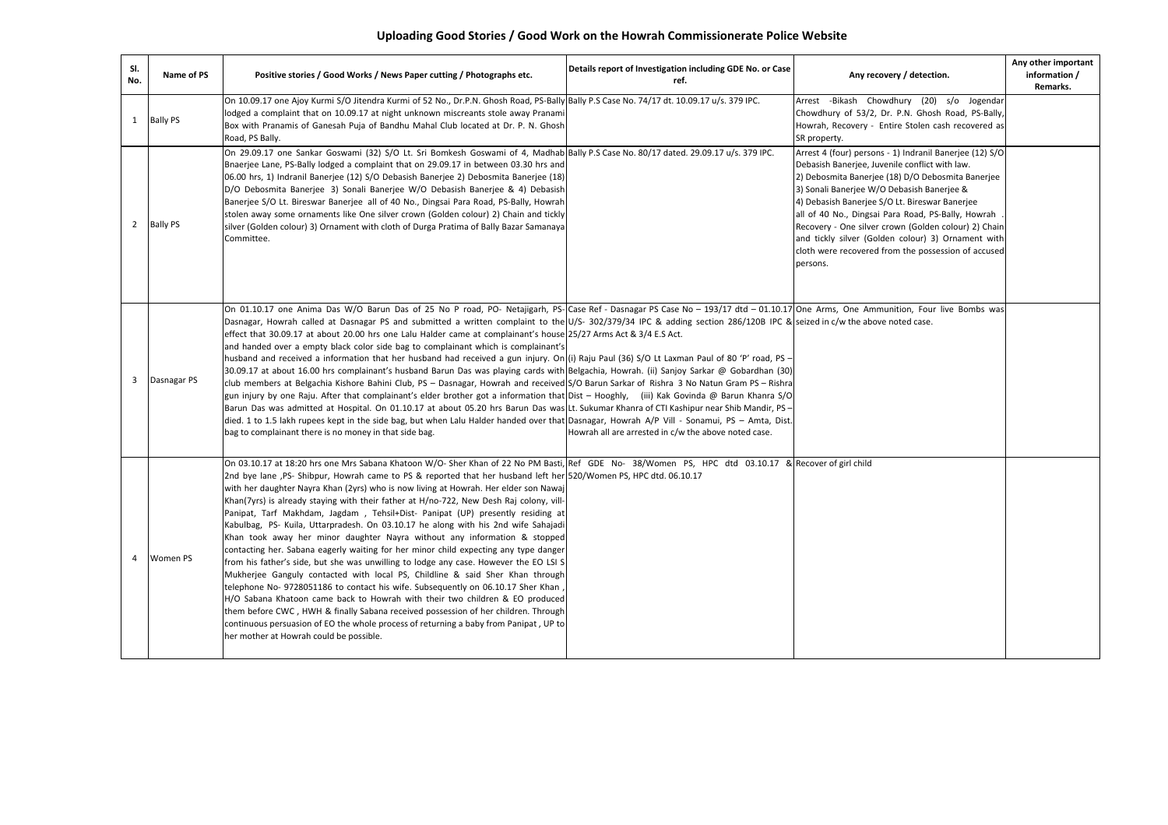| SI.<br>No.     | Name of PS    | Positive stories / Good Works / News Paper cutting / Photographs etc.                                                                                                                                                                                                                                                                                                                                                                                                                                                                                                                                                                                                                                                                                                                                                                                                                                                                                                                                                                                                                                                                                                                                                                                                                                                                                                                                                                                                                                                 | Details report of Investigation including GDE No. or Case<br>ref. | Any recovery / detection.                                                                                                                                                                                                                                                                                                                                                                                                                                                                             | Any other important<br>information /<br>Remarks. |
|----------------|---------------|-----------------------------------------------------------------------------------------------------------------------------------------------------------------------------------------------------------------------------------------------------------------------------------------------------------------------------------------------------------------------------------------------------------------------------------------------------------------------------------------------------------------------------------------------------------------------------------------------------------------------------------------------------------------------------------------------------------------------------------------------------------------------------------------------------------------------------------------------------------------------------------------------------------------------------------------------------------------------------------------------------------------------------------------------------------------------------------------------------------------------------------------------------------------------------------------------------------------------------------------------------------------------------------------------------------------------------------------------------------------------------------------------------------------------------------------------------------------------------------------------------------------------|-------------------------------------------------------------------|-------------------------------------------------------------------------------------------------------------------------------------------------------------------------------------------------------------------------------------------------------------------------------------------------------------------------------------------------------------------------------------------------------------------------------------------------------------------------------------------------------|--------------------------------------------------|
|                | 1 Bally PS    | On 10.09.17 one Ajoy Kurmi S/O Jitendra Kurmi of 52 No., Dr.P.N. Ghosh Road, PS-Bally Bally P.S Case No. 74/17 dt. 10.09.17 u/s. 379 IPC.<br>lodged a complaint that on 10.09.17 at night unknown miscreants stole away Pranami<br>Box with Pranamis of Ganesah Puja of Bandhu Mahal Club located at Dr. P. N. Ghosh<br>Road, PS Bally.                                                                                                                                                                                                                                                                                                                                                                                                                                                                                                                                                                                                                                                                                                                                                                                                                                                                                                                                                                                                                                                                                                                                                                               |                                                                   | Arrest -Bikash Chowdhury (20) s/o Jogendar<br>Chowdhury of 53/2, Dr. P.N. Ghosh Road, PS-Bally,<br>Howrah, Recovery - Entire Stolen cash recovered as<br>SR property.                                                                                                                                                                                                                                                                                                                                 |                                                  |
|                | 2 Bally PS    | On 29.09.17 one Sankar Goswami (32) S/O Lt. Sri Bomkesh Goswami of 4, Madhab Bally P.S Case No. 80/17 dated. 29.09.17 u/s. 379 IPC.<br>Bnaerjee Lane, PS-Bally lodged a complaint that on 29.09.17 in between 03.30 hrs and<br>06.00 hrs, 1) Indranil Banerjee (12) S/O Debasish Banerjee 2) Debosmita Banerjee (18)<br>D/O Debosmita Banerjee 3) Sonali Banerjee W/O Debasish Banerjee & 4) Debasish<br>Banerjee S/O Lt. Bireswar Banerjee all of 40 No., Dingsai Para Road, PS-Bally, Howrah<br>stolen away some ornaments like One silver crown (Golden colour) 2) Chain and tickly<br>silver (Golden colour) 3) Ornament with cloth of Durga Pratima of Bally Bazar Samanaya<br>Committee.                                                                                                                                                                                                                                                                                                                                                                                                                                                                                                                                                                                                                                                                                                                                                                                                                        |                                                                   | Arrest 4 (four) persons - 1) Indranil Banerjee (12) S/O<br>Debasish Banerjee, Juvenile conflict with law.<br>2) Debosmita Banerjee (18) D/O Debosmita Banerjee<br>3) Sonali Banerjee W/O Debasish Banerjee &<br>4) Debasish Banerjee S/O Lt. Bireswar Banerjee<br>all of 40 No., Dingsai Para Road, PS-Bally, Howrah<br>Recovery - One silver crown (Golden colour) 2) Chain<br>and tickly silver (Golden colour) 3) Ornament with<br>cloth were recovered from the possession of accused<br>persons. |                                                  |
|                | 3 Dasnagar PS | On 01.10.17 one Anima Das W/O Barun Das of 25 No P road, PO- Netajigarh, PS- Case Ref - Dasnagar PS Case No - 193/17 dtd - 01.10.17 One Arms, One Ammunition, Four live Bombs was<br>Dasnagar, Howrah called at Dasnagar PS and submitted a written complaint to the U/S- 302/379/34 IPC & adding section 286/120B IPC & seized in c/w the above noted case.<br>effect that 30.09.17 at about 20.00 hrs one Lalu Halder came at complainant's house 25/27 Arms Act & 3/4 E.S Act.<br>and handed over a empty black color side bag to complainant which is complainant's<br>husband and received a information that her husband had received a gun injury. On (i) Raju Paul (36) S/O Lt Laxman Paul of 80 'P' road, PS -<br>30.09.17 at about 16.00 hrs complainant's husband Barun Das was playing cards with Belgachia, Howrah. (ii) Sanjoy Sarkar @ Gobardhan (30)<br>club members at Belgachia Kishore Bahini Club, PS - Dasnagar, Howrah and received S/O Barun Sarkar of Rishra 3 No Natun Gram PS - Rishra<br>gun injury by one Raju. After that complainant's elder brother got a information that Dist – Hooghly, (iii) Kak Govinda @ Barun Khanra S/O<br>Barun Das was admitted at Hospital. On 01.10.17 at about 05.20 hrs Barun Das was Lt. Sukumar Khanra of CTI Kashipur near Shib Mandir, PS-<br>died. 1 to 1.5 lakh rupees kept in the side bag, but when Lalu Halder handed over that Dasnagar, Howrah A/P Vill - Sonamui, PS - Amta, Dist.<br>bag to complainant there is no money in that side bag. | Howrah all are arrested in c/w the above noted case.              |                                                                                                                                                                                                                                                                                                                                                                                                                                                                                                       |                                                  |
| $\overline{4}$ | Women PS      | On 03.10.17 at 18:20 hrs one Mrs Sabana Khatoon W/O- Sher Khan of 22 No PM Basti, Ref GDE No- 38/Women PS, HPC dtd 03.10.17 & Recover of girl child<br>2nd bye lane ,PS- Shibpur, Howrah came to PS & reported that her husband left her 520/Women PS, HPC dtd. 06.10.17<br>with her daughter Nayra Khan (2yrs) who is now living at Howrah. Her elder son Nawaj<br>Khan(7yrs) is already staying with their father at H/no-722, New Desh Raj colony, vill-<br>Panipat, Tarf Makhdam, Jagdam , Tehsil+Dist- Panipat (UP) presently residing at<br>Kabulbag, PS- Kuila, Uttarpradesh. On 03.10.17 he along with his 2nd wife Sahajadi<br>Khan took away her minor daughter Nayra without any information & stopped<br>contacting her. Sabana eagerly waiting for her minor child expecting any type danger<br>from his father's side, but she was unwilling to lodge any case. However the EO LSI S<br>Mukherjee Ganguly contacted with local PS, Childline & said Sher Khan through<br>telephone No- 9728051186 to contact his wife. Subsequently on 06.10.17 Sher Khan<br>H/O Sabana Khatoon came back to Howrah with their two children & EO produced<br>them before CWC, HWH & finally Sabana received possession of her children. Through<br>continuous persuasion of EO the whole process of returning a baby from Panipat, UP to<br>her mother at Howrah could be possible.                                                                                                                                     |                                                                   |                                                                                                                                                                                                                                                                                                                                                                                                                                                                                                       |                                                  |

## **Uploading Good Stories / Good Work on the Howrah Commissionerate Police Website**